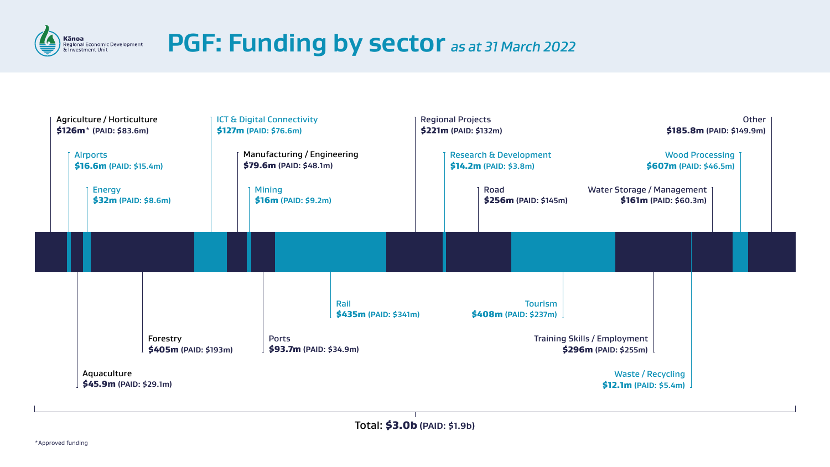# **PGF: Funding by sector** *as at 31 March 2022*



| Agriculture / Horticulture<br>$$126m*$ (PAID: \$83.6m) |                                              |                                                        |  | <b>ICT &amp; Digital Connectivity</b><br>\$127m (PAID: \$76.6m) |                                        |                                          |  |                              |  |
|--------------------------------------------------------|----------------------------------------------|--------------------------------------------------------|--|-----------------------------------------------------------------|----------------------------------------|------------------------------------------|--|------------------------------|--|
| <b>Airports</b><br>\$16.6m (PAID: \$15.4m)             |                                              | Manufacturing / Engineering<br>\$79.6m (PAID: \$48.1m) |  |                                                                 |                                        |                                          |  |                              |  |
|                                                        | <b>Energy</b><br><b>\$32m (PAID: \$8.6m)</b> |                                                        |  |                                                                 | <b>Mining</b><br>$$16m$ (PAID: \$9.2m) |                                          |  |                              |  |
|                                                        |                                              |                                                        |  |                                                                 |                                        |                                          |  |                              |  |
|                                                        |                                              |                                                        |  |                                                                 |                                        |                                          |  | Rail<br><b>\$435m (PAID:</b> |  |
|                                                        |                                              | Forestry<br>$$405m$ (PAID: \$193m)                     |  |                                                                 |                                        | <b>Ports</b><br>$$93.7m$ (PAID: \$34.9m) |  |                              |  |
| Aquaculture<br>\$45.9m (PAID: \$29.1m)                 |                                              |                                                        |  |                                                                 |                                        |                                          |  |                              |  |



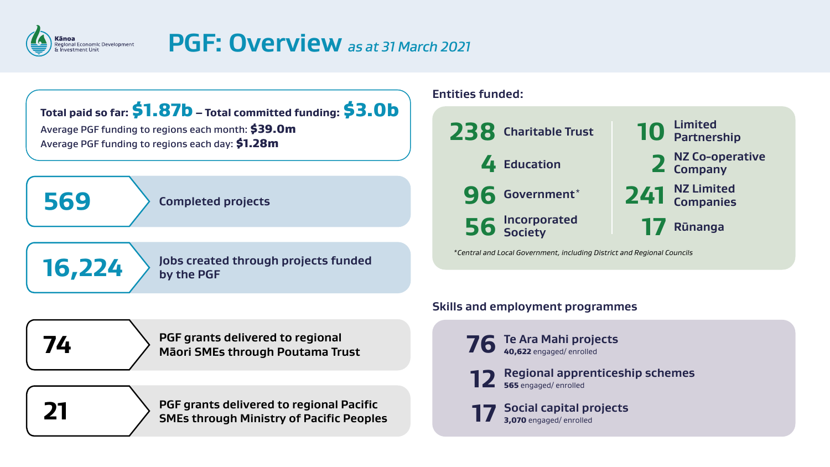

### Kānoa<br>Regional Economic Development<br>& Investment Unit